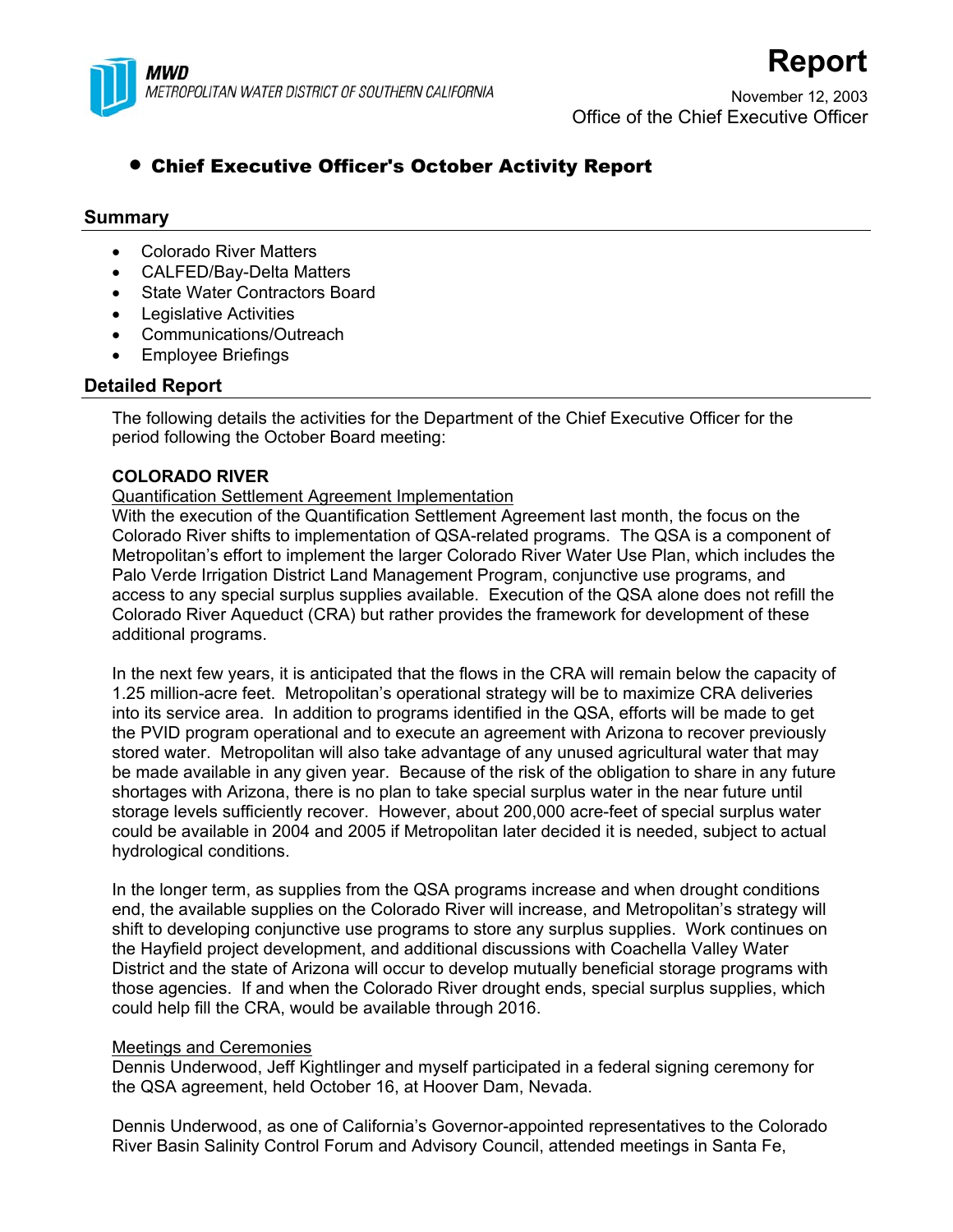

November 12, 2003 Office of the Chief Executive Officer

**Report**

# • Chief Executive Officer's October Activity Report

# **Summary**

- Colorado River Matters
- CALFED/Bay-Delta Matters
- **State Water Contractors Board**
- Legislative Activities
- Communications/Outreach
- Employee Briefings

# **Detailed Report**

The following details the activities for the Department of the Chief Executive Officer for the period following the October Board meeting:

# **COLORADO RIVER**

Quantification Settlement Agreement Implementation

With the execution of the Quantification Settlement Agreement last month, the focus on the Colorado River shifts to implementation of QSA-related programs. The QSA is a component of Metropolitan's effort to implement the larger Colorado River Water Use Plan, which includes the Palo Verde Irrigation District Land Management Program, conjunctive use programs, and access to any special surplus supplies available. Execution of the QSA alone does not refill the Colorado River Aqueduct (CRA) but rather provides the framework for development of these additional programs.

In the next few years, it is anticipated that the flows in the CRA will remain below the capacity of 1.25 million-acre feet. Metropolitan's operational strategy will be to maximize CRA deliveries into its service area. In addition to programs identified in the QSA, efforts will be made to get the PVID program operational and to execute an agreement with Arizona to recover previously stored water. Metropolitan will also take advantage of any unused agricultural water that may be made available in any given year. Because of the risk of the obligation to share in any future shortages with Arizona, there is no plan to take special surplus water in the near future until storage levels sufficiently recover. However, about 200,000 acre-feet of special surplus water could be available in 2004 and 2005 if Metropolitan later decided it is needed, subject to actual hydrological conditions.

In the longer term, as supplies from the QSA programs increase and when drought conditions end, the available supplies on the Colorado River will increase, and Metropolitan's strategy will shift to developing conjunctive use programs to store any surplus supplies. Work continues on the Hayfield project development, and additional discussions with Coachella Valley Water District and the state of Arizona will occur to develop mutually beneficial storage programs with those agencies. If and when the Colorado River drought ends, special surplus supplies, which could help fill the CRA, would be available through 2016.

# Meetings and Ceremonies

Dennis Underwood, Jeff Kightlinger and myself participated in a federal signing ceremony for the QSA agreement, held October 16, at Hoover Dam, Nevada.

Dennis Underwood, as one of California's Governor-appointed representatives to the Colorado River Basin Salinity Control Forum and Advisory Council, attended meetings in Santa Fe,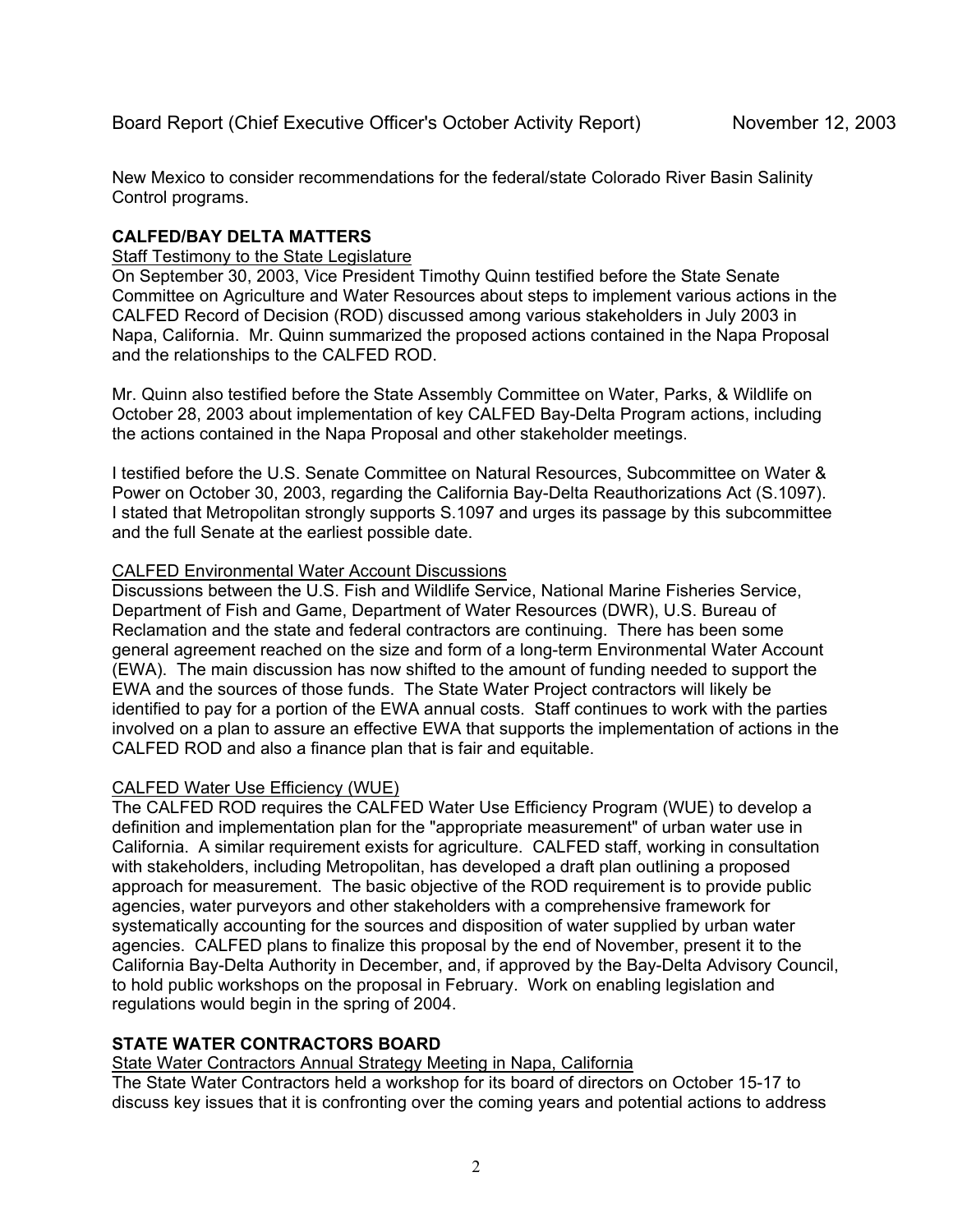New Mexico to consider recommendations for the federal/state Colorado River Basin Salinity Control programs.

### **CALFED/BAY DELTA MATTERS**

#### Staff Testimony to the State Legislature

On September 30, 2003, Vice President Timothy Quinn testified before the State Senate Committee on Agriculture and Water Resources about steps to implement various actions in the CALFED Record of Decision (ROD) discussed among various stakeholders in July 2003 in Napa, California. Mr. Quinn summarized the proposed actions contained in the Napa Proposal and the relationships to the CALFED ROD.

Mr. Quinn also testified before the State Assembly Committee on Water, Parks, & Wildlife on October 28, 2003 about implementation of key CALFED Bay-Delta Program actions, including the actions contained in the Napa Proposal and other stakeholder meetings.

I testified before the U.S. Senate Committee on Natural Resources, Subcommittee on Water & Power on October 30, 2003, regarding the California Bay-Delta Reauthorizations Act (S.1097). I stated that Metropolitan strongly supports S.1097 and urges its passage by this subcommittee and the full Senate at the earliest possible date.

#### CALFED Environmental Water Account Discussions

Discussions between the U.S. Fish and Wildlife Service, National Marine Fisheries Service, Department of Fish and Game, Department of Water Resources (DWR), U.S. Bureau of Reclamation and the state and federal contractors are continuing. There has been some general agreement reached on the size and form of a long-term Environmental Water Account (EWA). The main discussion has now shifted to the amount of funding needed to support the EWA and the sources of those funds. The State Water Project contractors will likely be identified to pay for a portion of the EWA annual costs. Staff continues to work with the parties involved on a plan to assure an effective EWA that supports the implementation of actions in the CALFED ROD and also a finance plan that is fair and equitable.

# CALFED Water Use Efficiency (WUE)

The CALFED ROD requires the CALFED Water Use Efficiency Program (WUE) to develop a definition and implementation plan for the "appropriate measurement" of urban water use in California. A similar requirement exists for agriculture. CALFED staff, working in consultation with stakeholders, including Metropolitan, has developed a draft plan outlining a proposed approach for measurement. The basic objective of the ROD requirement is to provide public agencies, water purveyors and other stakeholders with a comprehensive framework for systematically accounting for the sources and disposition of water supplied by urban water agencies. CALFED plans to finalize this proposal by the end of November, present it to the California Bay-Delta Authority in December, and, if approved by the Bay-Delta Advisory Council, to hold public workshops on the proposal in February. Work on enabling legislation and regulations would begin in the spring of 2004.

# **STATE WATER CONTRACTORS BOARD**

# State Water Contractors Annual Strategy Meeting in Napa, California

The State Water Contractors held a workshop for its board of directors on October 15-17 to discuss key issues that it is confronting over the coming years and potential actions to address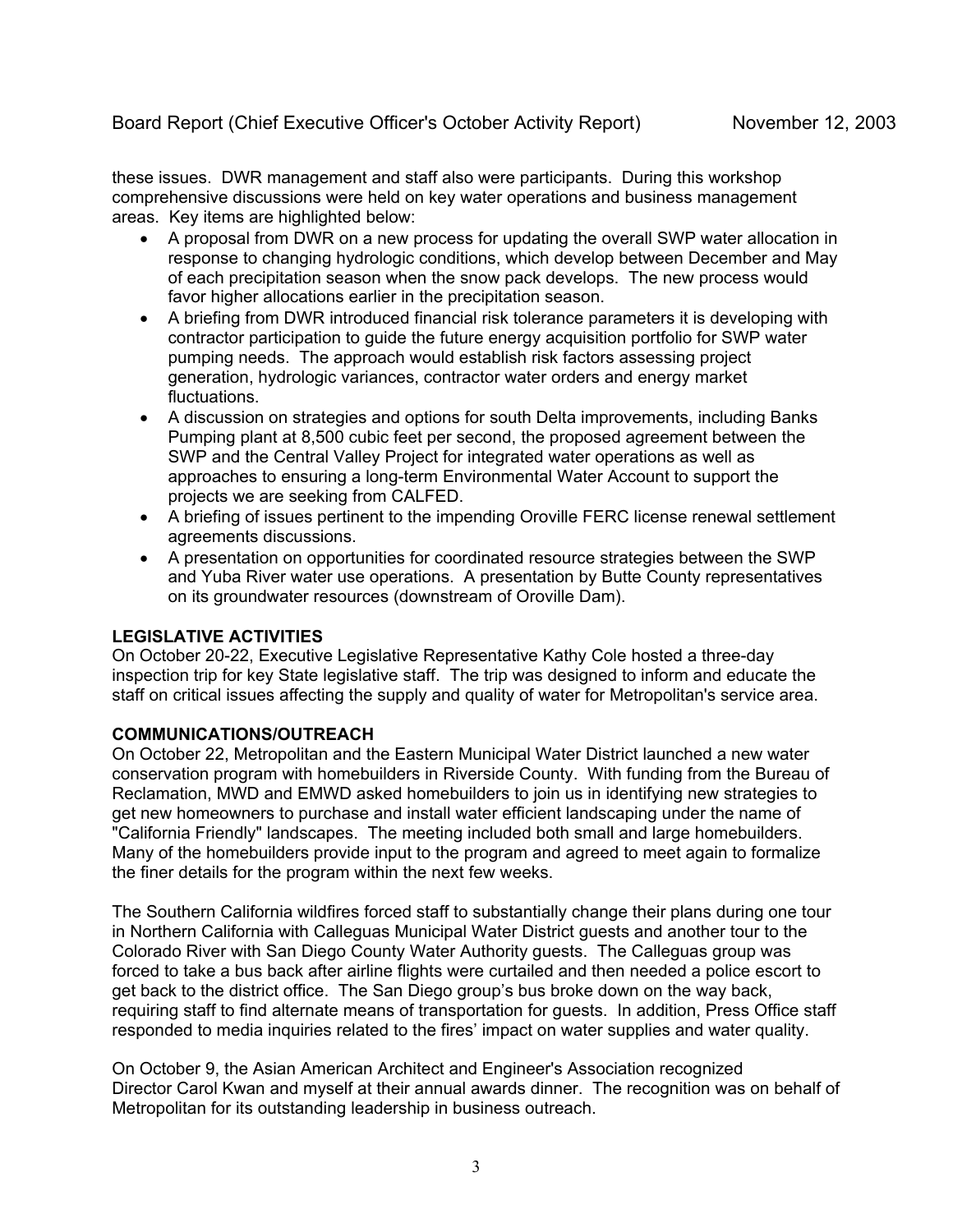these issues. DWR management and staff also were participants. During this workshop comprehensive discussions were held on key water operations and business management areas. Key items are highlighted below:

- A proposal from DWR on a new process for updating the overall SWP water allocation in response to changing hydrologic conditions, which develop between December and May of each precipitation season when the snow pack develops. The new process would favor higher allocations earlier in the precipitation season.
- A briefing from DWR introduced financial risk tolerance parameters it is developing with contractor participation to guide the future energy acquisition portfolio for SWP water pumping needs. The approach would establish risk factors assessing project generation, hydrologic variances, contractor water orders and energy market fluctuations.
- A discussion on strategies and options for south Delta improvements, including Banks Pumping plant at 8,500 cubic feet per second, the proposed agreement between the SWP and the Central Valley Project for integrated water operations as well as approaches to ensuring a long-term Environmental Water Account to support the projects we are seeking from CALFED.
- A briefing of issues pertinent to the impending Oroville FERC license renewal settlement agreements discussions.
- A presentation on opportunities for coordinated resource strategies between the SWP and Yuba River water use operations. A presentation by Butte County representatives on its groundwater resources (downstream of Oroville Dam).

# **LEGISLATIVE ACTIVITIES**

On October 20-22, Executive Legislative Representative Kathy Cole hosted a three-day inspection trip for key State legislative staff. The trip was designed to inform and educate the staff on critical issues affecting the supply and quality of water for Metropolitan's service area.

# **COMMUNICATIONS/OUTREACH**

On October 22, Metropolitan and the Eastern Municipal Water District launched a new water conservation program with homebuilders in Riverside County. With funding from the Bureau of Reclamation, MWD and EMWD asked homebuilders to join us in identifying new strategies to get new homeowners to purchase and install water efficient landscaping under the name of "California Friendly" landscapes. The meeting included both small and large homebuilders. Many of the homebuilders provide input to the program and agreed to meet again to formalize the finer details for the program within the next few weeks.

The Southern California wildfires forced staff to substantially change their plans during one tour in Northern California with Calleguas Municipal Water District guests and another tour to the Colorado River with San Diego County Water Authority guests. The Calleguas group was forced to take a bus back after airline flights were curtailed and then needed a police escort to get back to the district office. The San Diego group's bus broke down on the way back, requiring staff to find alternate means of transportation for guests. In addition, Press Office staff responded to media inquiries related to the fires' impact on water supplies and water quality.

On October 9, the Asian American Architect and Engineer's Association recognized Director Carol Kwan and myself at their annual awards dinner. The recognition was on behalf of Metropolitan for its outstanding leadership in business outreach.